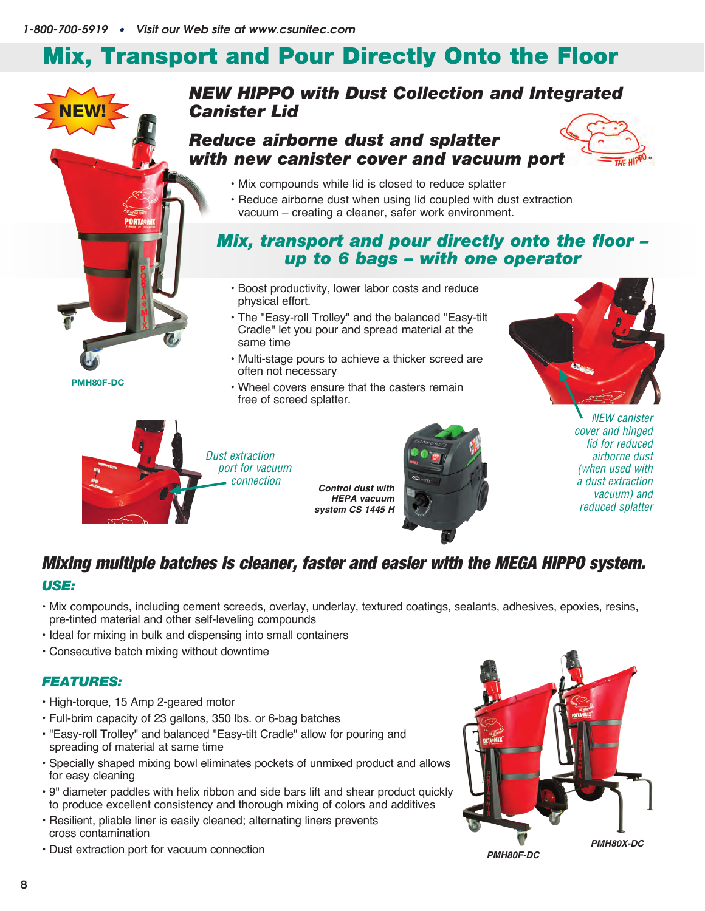# Mix, Transport and Pour Directly Onto the Floor

### *NEW HIPPO with Dust Collection and Integrated Canister Lid*

### *Reduce airborne dust and splatter with new canister cover and vacuum port*



- Mix compounds while lid is closed to reduce splatter
- Reduce airborne dust when using lid coupled with dust extraction vacuum – creating a cleaner, safer work environment.

### *Mix, transport and pour directly onto the floor – up to 6 bags – with one operator*

• Boost productivity, lower labor costs and reduce physical effort.

• The "Easy-roll Trolley" and the balanced "Easy-tilt Cradle" let you pour and spread material at the same time

- Multi-stage pours to achieve a thicker screed are often not necessary
- Wheel covers ensure that the casters remain free of screed splatter.





*Control dust with HEPA vacuum system CS 1445 H* 



*NEW canister cover and hinged lid for reduced airborne dust (when used with a dust extraction vacuum) and reduced splatter*

## *USE: Mixing multiple batches is cleaner, faster and easier with the MEGA HIPPO system.*

- Mix compounds, including cement screeds, overlay, underlay, textured coatings, sealants, adhesives, epoxies, resins, pre-tinted material and other self-leveling compounds
- Ideal for mixing in bulk and dispensing into small containers
- Consecutive batch mixing without downtime

#### *FEATURES:*

NEW!

**PMH80F-DC**

- High-torque, 15 Amp 2-geared motor
- Full-brim capacity of 23 gallons, 350 lbs. or 6-bag batches
- "Easy-roll Trolley" and balanced "Easy-tilt Cradle" allow for pouring and spreading of material at same time
- Specially shaped mixing bowl eliminates pockets of unmixed product and allows for easy cleaning
- 9" diameter paddles with helix ribbon and side bars lift and shear product quickly to produce excellent consistency and thorough mixing of colors and additives
- Resilient, pliable liner is easily cleaned; alternating liners prevents cross contamination
- Dust extraction port for vacuum connection



*PMH80F-DC*